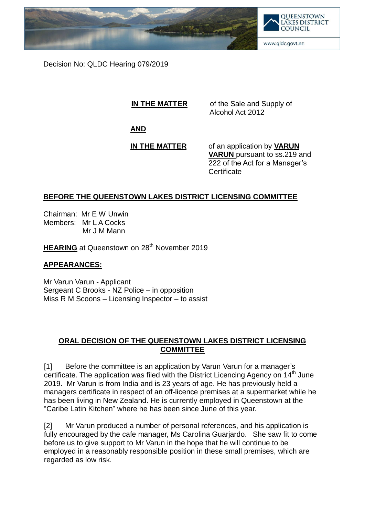

Decision No: QLDC Hearing 079/2019

**IN THE MATTER** of the Sale and Supply of Alcohol Act 2012

**AND**

**IN THE MATTER** of an application by **VARUN VARUN** pursuant to ss.219 and

222 of the Act for a Manager's **Certificate** 

## **BEFORE THE QUEENSTOWN LAKES DISTRICT LICENSING COMMITTEE**

Chairman: Mr E W Unwin Members: Mr L A Cocks Mr J M Mann

**HEARING** at Queenstown on 28<sup>th</sup> November 2019

## **APPEARANCES:**

Mr Varun Varun - Applicant Sergeant C Brooks - NZ Police – in opposition Miss R M Scoons – Licensing Inspector – to assist

## **ORAL DECISION OF THE QUEENSTOWN LAKES DISTRICT LICENSING COMMITTEE**

[1] Before the committee is an application by Varun Varun for a manager"s certificate. The application was filed with the District Licencing Agency on 14<sup>th</sup> June 2019. Mr Varun is from India and is 23 years of age. He has previously held a managers certificate in respect of an off-licence premises at a supermarket while he has been living in New Zealand. He is currently employed in Queenstown at the "Caribe Latin Kitchen" where he has been since June of this year.

[2] Mr Varun produced a number of personal references, and his application is fully encouraged by the cafe manager, Ms Carolina Guarjardo. She saw fit to come before us to give support to Mr Varun in the hope that he will continue to be employed in a reasonably responsible position in these small premises, which are regarded as low risk.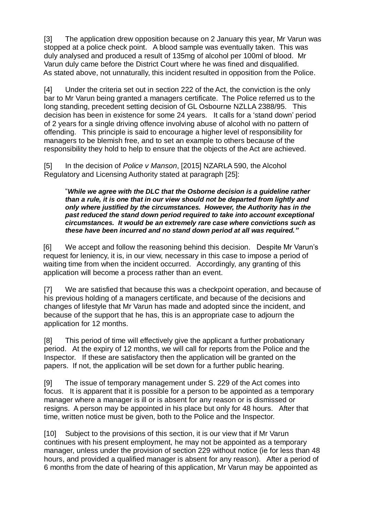[3] The application drew opposition because on 2 January this year, Mr Varun was stopped at a police check point. A blood sample was eventually taken. This was duly analysed and produced a result of 135mg of alcohol per 100ml of blood. Mr Varun duly came before the District Court where he was fined and disqualified. As stated above, not unnaturally, this incident resulted in opposition from the Police.

[4] Under the criteria set out in section 222 of the Act, the conviction is the only bar to Mr Varun being granted a managers certificate. The Police referred us to the long standing, precedent setting decision of GL Osbourne NZLLA 2388/95. This decision has been in existence for some 24 years. It calls for a "stand down" period of 2 years for a single driving offence involving abuse of alcohol with no pattern of offending. This principle is said to encourage a higher level of responsibility for managers to be blemish free, and to set an example to others because of the responsibility they hold to help to ensure that the objects of the Act are achieved.

[5] In the decision of *Police v Manson*, [2015] NZARLA 590, the Alcohol Regulatory and Licensing Authority stated at paragraph [25]:

"*While we agree with the DLC that the Osborne decision is a guideline rather than a rule, it is one that in our view should not be departed from lightly and only where justified by the circumstances. However, the Authority has in the past reduced the stand down period required to take into account exceptional circumstances. It would be an extremely rare case where convictions such as these have been incurred and no stand down period at all was required."* 

[6] We accept and follow the reasoning behind this decision. Despite Mr Varun"s request for leniency, it is, in our view, necessary in this case to impose a period of waiting time from when the incident occurred. Accordingly, any granting of this application will become a process rather than an event.

[7] We are satisfied that because this was a checkpoint operation, and because of his previous holding of a managers certificate, and because of the decisions and changes of lifestyle that Mr Varun has made and adopted since the incident, and because of the support that he has, this is an appropriate case to adjourn the application for 12 months.

[8] This period of time will effectively give the applicant a further probationary period. At the expiry of 12 months, we will call for reports from the Police and the Inspector. If these are satisfactory then the application will be granted on the papers. If not, the application will be set down for a further public hearing.

[9] The issue of temporary management under S. 229 of the Act comes into focus. It is apparent that it is possible for a person to be appointed as a temporary manager where a manager is ill or is absent for any reason or is dismissed or resigns. A person may be appointed in his place but only for 48 hours. After that time, written notice must be given, both to the Police and the Inspector.

[10] Subject to the provisions of this section, it is our view that if Mr Varun continues with his present employment, he may not be appointed as a temporary manager, unless under the provision of section 229 without notice (ie for less than 48 hours, and provided a qualified manager is absent for any reason). After a period of 6 months from the date of hearing of this application, Mr Varun may be appointed as